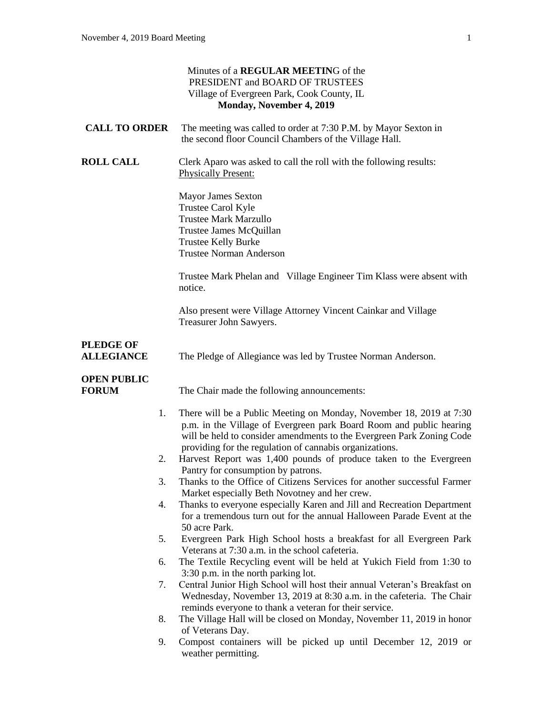|                                       | Minutes of a REGULAR MEETING of the<br>PRESIDENT and BOARD OF TRUSTEES<br>Village of Evergreen Park, Cook County, IL<br>Monday, November 4, 2019                                                                                                                               |
|---------------------------------------|--------------------------------------------------------------------------------------------------------------------------------------------------------------------------------------------------------------------------------------------------------------------------------|
| <b>CALL TO ORDER</b>                  | The meeting was called to order at 7:30 P.M. by Mayor Sexton in<br>the second floor Council Chambers of the Village Hall.                                                                                                                                                      |
| <b>ROLL CALL</b>                      | Clerk Aparo was asked to call the roll with the following results:<br><b>Physically Present:</b>                                                                                                                                                                               |
|                                       | <b>Mayor James Sexton</b><br>Trustee Carol Kyle<br><b>Trustee Mark Marzullo</b><br>Trustee James McQuillan<br><b>Trustee Kelly Burke</b><br><b>Trustee Norman Anderson</b>                                                                                                     |
|                                       | Trustee Mark Phelan and Village Engineer Tim Klass were absent with<br>notice.                                                                                                                                                                                                 |
|                                       | Also present were Village Attorney Vincent Cainkar and Village<br>Treasurer John Sawyers.                                                                                                                                                                                      |
| <b>PLEDGE OF</b><br><b>ALLEGIANCE</b> | The Pledge of Allegiance was led by Trustee Norman Anderson.                                                                                                                                                                                                                   |
| <b>OPEN PUBLIC</b><br><b>FORUM</b>    | The Chair made the following announcements:                                                                                                                                                                                                                                    |
| 1.                                    | There will be a Public Meeting on Monday, November 18, 2019 at 7:30<br>p.m. in the Village of Evergreen park Board Room and public hearing<br>will be held to consider amendments to the Evergreen Park Zoning Code<br>providing for the regulation of cannabis organizations. |
| 2.                                    | Harvest Report was 1,400 pounds of produce taken to the Evergreen                                                                                                                                                                                                              |
| 3.                                    | Pantry for consumption by patrons.<br>Thanks to the Office of Citizens Services for another successful Farmer<br>Market especially Beth Novotney and her crew.                                                                                                                 |
| 4.                                    | Thanks to everyone especially Karen and Jill and Recreation Department<br>for a tremendous turn out for the annual Halloween Parade Event at the<br>50 acre Park.                                                                                                              |
| 5.                                    | Evergreen Park High School hosts a breakfast for all Evergreen Park<br>Veterans at 7:30 a.m. in the school cafeteria.                                                                                                                                                          |
| 6.                                    | The Textile Recycling event will be held at Yukich Field from 1:30 to                                                                                                                                                                                                          |
| 7.                                    | 3:30 p.m. in the north parking lot.<br>Central Junior High School will host their annual Veteran's Breakfast on<br>Wednesday, November 13, 2019 at 8:30 a.m. in the cafeteria. The Chair<br>reminds everyone to thank a veteran for their service.                             |
| 8.                                    | The Village Hall will be closed on Monday, November 11, 2019 in honor                                                                                                                                                                                                          |
| 9.                                    | of Veterans Day.<br>Compost containers will be picked up until December 12, 2019 or<br>weather permitting.                                                                                                                                                                     |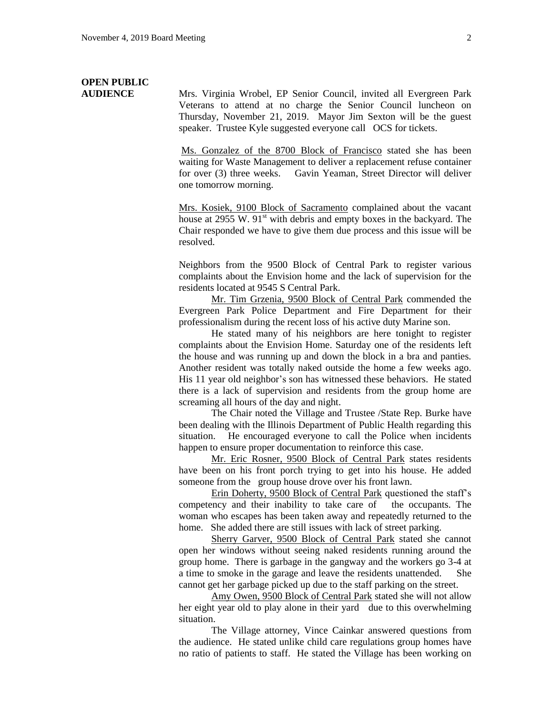# **OPEN PUBLIC**

**AUDIENCE** Mrs. Virginia Wrobel, EP Senior Council, invited all Evergreen Park Veterans to attend at no charge the Senior Council luncheon on Thursday, November 21, 2019. Mayor Jim Sexton will be the guest speaker. Trustee Kyle suggested everyone call OCS for tickets.

> Ms. Gonzalez of the 8700 Block of Francisco stated she has been waiting for Waste Management to deliver a replacement refuse container for over (3) three weeks. Gavin Yeaman, Street Director will deliver one tomorrow morning.

> Mrs. Kosiek, 9100 Block of Sacramento complained about the vacant house at 2955 W.  $91<sup>st</sup>$  with debris and empty boxes in the backyard. The Chair responded we have to give them due process and this issue will be resolved.

> Neighbors from the 9500 Block of Central Park to register various complaints about the Envision home and the lack of supervision for the residents located at 9545 S Central Park.

> Mr. Tim Grzenia, 9500 Block of Central Park commended the Evergreen Park Police Department and Fire Department for their professionalism during the recent loss of his active duty Marine son.

> He stated many of his neighbors are here tonight to register complaints about the Envision Home. Saturday one of the residents left the house and was running up and down the block in a bra and panties. Another resident was totally naked outside the home a few weeks ago. His 11 year old neighbor's son has witnessed these behaviors. He stated there is a lack of supervision and residents from the group home are screaming all hours of the day and night.

> The Chair noted the Village and Trustee /State Rep. Burke have been dealing with the Illinois Department of Public Health regarding this situation. He encouraged everyone to call the Police when incidents happen to ensure proper documentation to reinforce this case.

> Mr. Eric Rosner, 9500 Block of Central Park states residents have been on his front porch trying to get into his house. He added someone from the group house drove over his front lawn.

> Erin Doherty, 9500 Block of Central Park questioned the staff's competency and their inability to take care of the occupants. The woman who escapes has been taken away and repeatedly returned to the home. She added there are still issues with lack of street parking.

> Sherry Garver, 9500 Block of Central Park stated she cannot open her windows without seeing naked residents running around the group home. There is garbage in the gangway and the workers go 3-4 at a time to smoke in the garage and leave the residents unattended. She cannot get her garbage picked up due to the staff parking on the street.

> Amy Owen, 9500 Block of Central Park stated she will not allow her eight year old to play alone in their yard due to this overwhelming situation.

> The Village attorney, Vince Cainkar answered questions from the audience. He stated unlike child care regulations group homes have no ratio of patients to staff. He stated the Village has been working on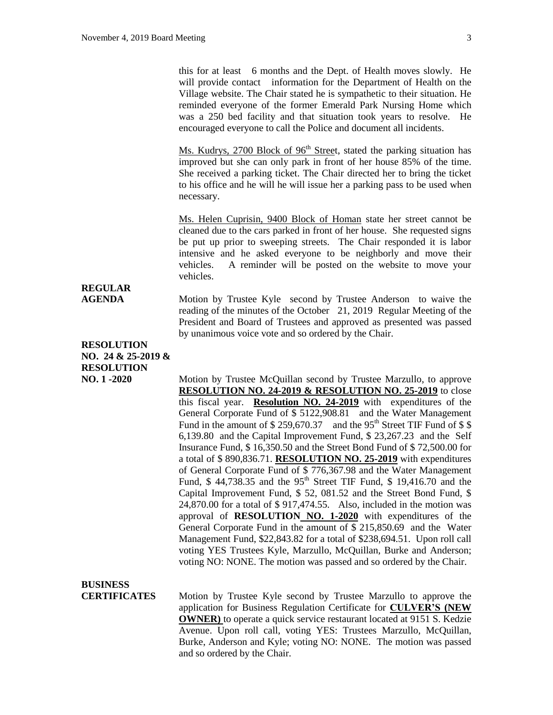this for at least 6 months and the Dept. of Health moves slowly. He will provide contact information for the Department of Health on the Village website. The Chair stated he is sympathetic to their situation. He reminded everyone of the former Emerald Park Nursing Home which was a 250 bed facility and that situation took years to resolve. He encouraged everyone to call the Police and document all incidents.

Ms. Kudrys, 2700 Block of  $96<sup>th</sup>$  Street, stated the parking situation has improved but she can only park in front of her house 85% of the time. She received a parking ticket. The Chair directed her to bring the ticket to his office and he will he will issue her a parking pass to be used when necessary.

Ms. Helen Cuprisin, 9400 Block of Homan state her street cannot be cleaned due to the cars parked in front of her house. She requested signs be put up prior to sweeping streets. The Chair responded it is labor intensive and he asked everyone to be neighborly and move their vehicles. A reminder will be posted on the website to move your vehicles.

### **REGULAR**

**AGENDA** Motion by Trustee Kyle second by Trustee Anderson to waive the reading of the minutes of the October 21, 2019 Regular Meeting of the President and Board of Trustees and approved as presented was passed by unanimous voice vote and so ordered by the Chair.

### **RESOLUTION NO. 24 & 25-2019 & RESOLUTION**

**NO. 1 -2020** Motion by Trustee McQuillan second by Trustee Marzullo, to approve **RESOLUTION NO. 24-2019 & RESOLUTION NO. 25-2019** to close this fiscal year. **Resolution NO. 24-2019** with expenditures of the General Corporate Fund of \$ 5122,908.81 and the Water Management Fund in the amount of  $$259,670.37$  and the 95<sup>th</sup> Street TIF Fund of  $$$  \$ 6,139.80 and the Capital Improvement Fund, \$ 23,267.23 and the Self Insurance Fund, \$ 16,350.50 and the Street Bond Fund of \$ 72,500.00 for a total of \$ 890,836.71. **RESOLUTION NO. 25-2019** with expenditures of General Corporate Fund of \$ 776,367.98 and the Water Management Fund, \$44,738.35 and the 95<sup>th</sup> Street TIF Fund, \$19,416.70 and the Capital Improvement Fund, \$ 52, 081.52 and the Street Bond Fund, \$ 24,870.00 for a total of \$ 917,474.55. Also, included in the motion was approval of **RESOLUTION NO. 1-2020** with expenditures of the General Corporate Fund in the amount of \$ 215,850.69 and the Water Management Fund, \$22,843.82 for a total of \$238,694.51. Upon roll call voting YES Trustees Kyle, Marzullo, McQuillan, Burke and Anderson; voting NO: NONE. The motion was passed and so ordered by the Chair.

**BUSINESS** 

**CERTIFICATES** Motion by Trustee Kyle second by Trustee Marzullo to approve the application for Business Regulation Certificate for **CULVER'S (NEW OWNER)** to operate a quick service restaurant located at 9151 S. Kedzie Avenue. Upon roll call, voting YES: Trustees Marzullo, McQuillan, Burke, Anderson and Kyle; voting NO: NONE. The motion was passed and so ordered by the Chair.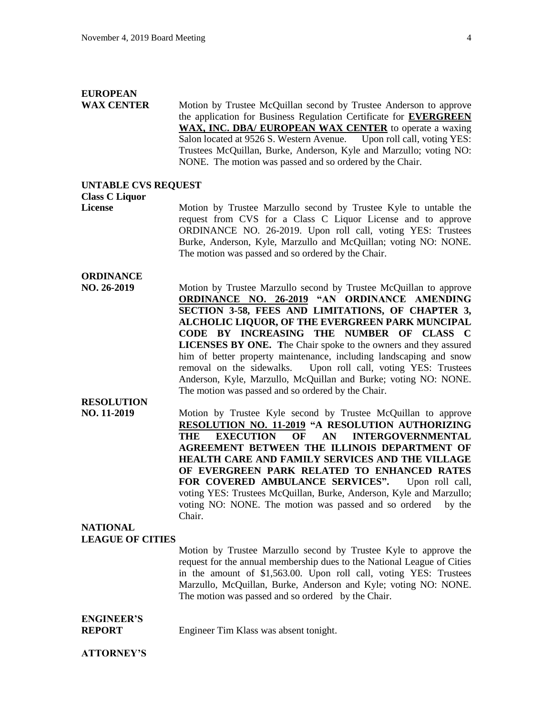## **EUROPEAN**

**WAX CENTER** Motion by Trustee McQuillan second by Trustee Anderson to approve the application for Business Regulation Certificate for **EVERGREEN WAX, INC. DBA/ EUROPEAN WAX CENTER** to operate a waxing Salon located at 9526 S. Western Avenue. Upon roll call, voting YES: Trustees McQuillan, Burke, Anderson, Kyle and Marzullo; voting NO: NONE. The motion was passed and so ordered by the Chair.

#### **UNTABLE CVS REQUEST**

#### **Class C Liquor**

**License** Motion by Trustee Marzullo second by Trustee Kyle to untable the request from CVS for a Class C Liquor License and to approve ORDINANCE NO. 26-2019. Upon roll call, voting YES: Trustees Burke, Anderson, Kyle, Marzullo and McQuillan; voting NO: NONE. The motion was passed and so ordered by the Chair.

#### **ORDINANCE**

**NO. 26-2019** Motion by Trustee Marzullo second by Trustee McQuillan to approve **ORDINANCE NO. 26-2019 "AN ORDINANCE AMENDING SECTION 3-58, FEES AND LIMITATIONS, OF CHAPTER 3, ALCHOLIC LIQUOR, OF THE EVERGREEN PARK MUNCIPAL CODE BY INCREASING THE NUMBER OF CLASS C LICENSES BY ONE. T**he Chair spoke to the owners and they assured him of better property maintenance, including landscaping and snow removal on the sidewalks. Upon roll call, voting YES: Trustees Anderson, Kyle, Marzullo, McQuillan and Burke; voting NO: NONE. The motion was passed and so ordered by the Chair. **RESOLUTION** 

**NO. 11-2019** Motion by Trustee Kyle second by Trustee McQuillan to approve **RESOLUTION NO. 11-2019 "A RESOLUTION AUTHORIZING THE EXECUTION OF AN INTERGOVERNMENTAL AGREEMENT BETWEEN THE ILLINOIS DEPARTMENT OF HEALTH CARE AND FAMILY SERVICES AND THE VILLAGE OF EVERGREEN PARK RELATED TO ENHANCED RATES FOR COVERED AMBULANCE SERVICES".** Upon roll call, voting YES: Trustees McQuillan, Burke, Anderson, Kyle and Marzullo; voting NO: NONE. The motion was passed and so ordered by the Chair.

#### **NATIONAL LEAGUE OF CITIES**

Motion by Trustee Marzullo second by Trustee Kyle to approve the request for the annual membership dues to the National League of Cities in the amount of \$1,563.00. Upon roll call, voting YES: Trustees Marzullo, McQuillan, Burke, Anderson and Kyle; voting NO: NONE. The motion was passed and so ordered by the Chair.

## **ENGINEER'S**

**REPORT** Engineer Tim Klass was absent tonight.

#### **ATTORNEY'S**